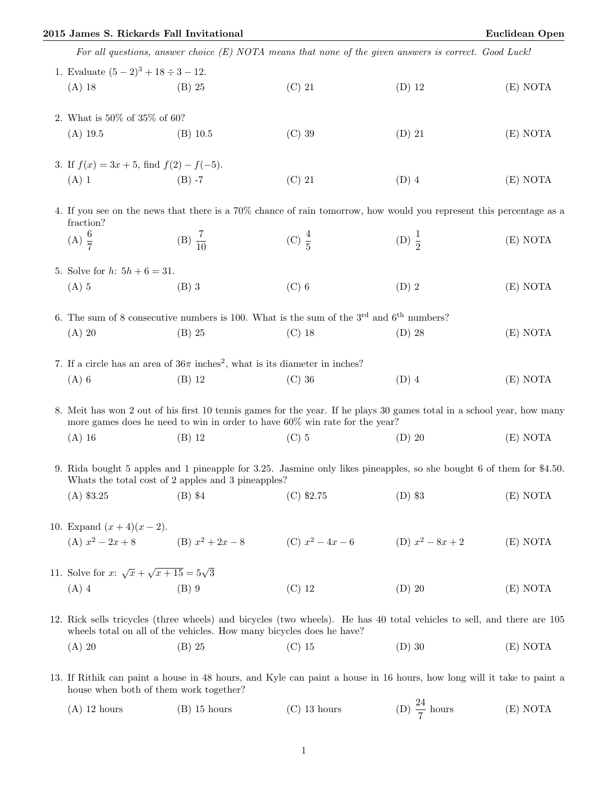## 2015 James S. Rickards Fall Invitational Euclidean Open

|                                                                                                                                                                            |                                                                                                                                                                                                      | For all questions, answer choice $(E)$ NOTA means that none of the given answers is correct. Good Luck!                |                    |          |  |
|----------------------------------------------------------------------------------------------------------------------------------------------------------------------------|------------------------------------------------------------------------------------------------------------------------------------------------------------------------------------------------------|------------------------------------------------------------------------------------------------------------------------|--------------------|----------|--|
| 1. Evaluate $(5-2)^3 + 18 \div 3 - 12$ .                                                                                                                                   |                                                                                                                                                                                                      |                                                                                                                        |                    |          |  |
| $(A)$ 18                                                                                                                                                                   | $(B)$ 25                                                                                                                                                                                             | $(C)$ 21                                                                                                               | $(D)$ 12           | (E) NOTA |  |
| 2. What is $50\%$ of $35\%$ of 60?                                                                                                                                         |                                                                                                                                                                                                      |                                                                                                                        |                    |          |  |
| $(A)$ 19.5                                                                                                                                                                 | $(B)$ 10.5                                                                                                                                                                                           | $(C)$ 39                                                                                                               | $(D)$ 21           | (E) NOTA |  |
| 3. If $f(x) = 3x + 5$ , find $f(2) - f(-5)$ .                                                                                                                              |                                                                                                                                                                                                      |                                                                                                                        |                    |          |  |
| $(A)$ 1                                                                                                                                                                    | $(B) -7$                                                                                                                                                                                             | $(C)$ 21                                                                                                               | $(D)$ 4            | (E) NOTA |  |
| 4. If you see on the news that there is a 70% chance of rain tomorrow, how would you represent this percentage as a<br>fraction?                                           |                                                                                                                                                                                                      |                                                                                                                        |                    |          |  |
| (A) $\frac{6}{7}$                                                                                                                                                          | (B) $\frac{7}{10}$                                                                                                                                                                                   | (C) $\frac{4}{5}$                                                                                                      | (D) $\frac{1}{2}$  | (E) NOTA |  |
| 5. Solve for $h: 5h + 6 = 31$ .                                                                                                                                            |                                                                                                                                                                                                      |                                                                                                                        |                    |          |  |
| $(A)$ 5                                                                                                                                                                    | $(B)$ 3                                                                                                                                                                                              | $(C)$ 6                                                                                                                | $(D)$ 2            | (E) NOTA |  |
|                                                                                                                                                                            | 6. The sum of 8 consecutive numbers is 100. What is the sum of the $3^{\text{rd}}$ and $6^{\text{th}}$ numbers?                                                                                      |                                                                                                                        |                    |          |  |
| $(A)$ 20                                                                                                                                                                   | $(B)$ 25                                                                                                                                                                                             | $(C)$ 18                                                                                                               | $(D)$ 28           | (E) NOTA |  |
|                                                                                                                                                                            | 7. If a circle has an area of $36\pi$ inches <sup>2</sup> , what is its diameter in inches?                                                                                                          |                                                                                                                        |                    |          |  |
| $(A)$ 6                                                                                                                                                                    | $(B)$ 12                                                                                                                                                                                             | $(C)$ 36                                                                                                               | $(D)$ 4            | (E) NOTA |  |
|                                                                                                                                                                            | 8. Meit has won 2 out of his first 10 tennis games for the year. If he plays 30 games total in a school year, how many<br>more games does he need to win in order to have 60% win rate for the year? |                                                                                                                        |                    |          |  |
| $(A)$ 16                                                                                                                                                                   | $(B)$ 12                                                                                                                                                                                             | $(C)$ 5                                                                                                                | $(D)$ 20           | (E) NOTA |  |
| 9. Rida bought 5 apples and 1 pineapple for 3.25. Jasmine only likes pineapples, so she bought 6 of them for \$4.50.<br>Whats the total cost of 2 apples and 3 pineapples? |                                                                                                                                                                                                      |                                                                                                                        |                    |          |  |
| $(B)$ \$4<br>$(A)$ \$3.25                                                                                                                                                  |                                                                                                                                                                                                      | $(C)$ \$2.75                                                                                                           | $(D)$ \$3          | (E) NOTA |  |
| 10. Expand $(x+4)(x-2)$ .                                                                                                                                                  |                                                                                                                                                                                                      |                                                                                                                        |                    |          |  |
| (A) $x^2 - 2x + 8$ (B) $x^2 + 2x - 8$                                                                                                                                      |                                                                                                                                                                                                      | (C) $x^2 - 4x - 6$                                                                                                     | (D) $x^2 - 8x + 2$ | (E) NOTA |  |
| 11. Solve for x: $\sqrt{x} + \sqrt{x+15} = 5\sqrt{3}$                                                                                                                      |                                                                                                                                                                                                      |                                                                                                                        |                    |          |  |
| $(A)$ 4                                                                                                                                                                    | $(B)$ 9                                                                                                                                                                                              | $(C)$ 12                                                                                                               | $(D)$ 20           | (E) NOTA |  |
|                                                                                                                                                                            | wheels total on all of the vehicles. How many bicycles does he have?                                                                                                                                 | 12. Rick sells tricycles (three wheels) and bicycles (two wheels). He has 40 total vehicles to sell, and there are 105 |                    |          |  |
| $(A)$ 20                                                                                                                                                                   | $(B)$ 25                                                                                                                                                                                             | $(C)$ 15                                                                                                               | $(D)$ 30           | (E) NOTA |  |
| 12 If Dithik can paint a house in 48 hours and Kyle can paint a house in 16 hours how long will it take to paint a                                                         |                                                                                                                                                                                                      |                                                                                                                        |                    |          |  |

13. If Rithik can paint a house in 48 hours, and Kyle can paint a house in 16 hours, how long will it take to paint a house when both of them work together?

| $(A)$ 12 hours | $(B)$ 15 hours | $(C)$ 13 hours | (D) $\frac{24}{7}$ hours | (E) NOTA |
|----------------|----------------|----------------|--------------------------|----------|
|                |                |                |                          |          |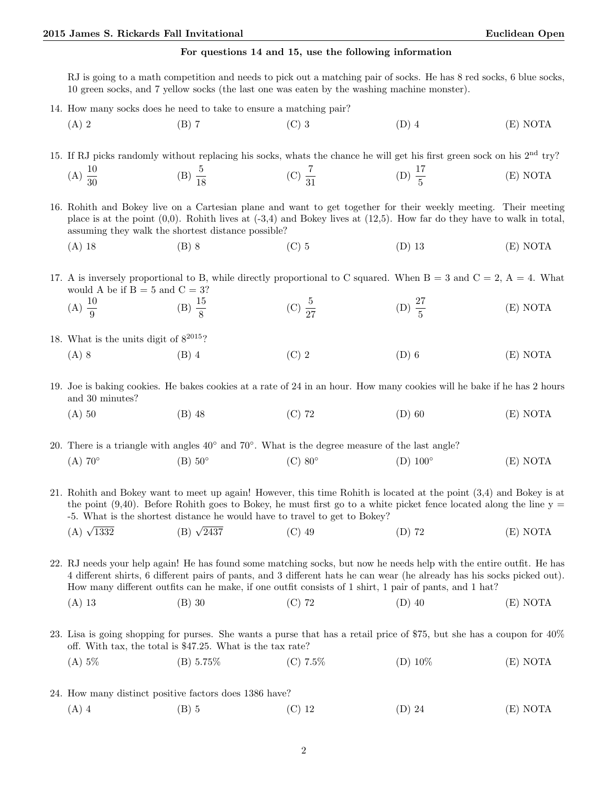## For questions 14 and 15, use the following information

RJ is going to a math competition and needs to pick out a matching pair of socks. He has 8 red socks, 6 blue socks, 10 green socks, and 7 yellow socks (the last one was eaten by the washing machine monster).

- 14. How many socks does he need to take to ensure a matching pair?
	- (A) 2 (B) 7 (C) 3 (D) 4 (E) NOTA

15. If RJ picks randomly without replacing his socks, whats the chance he will get his first green sock on his 2nd try?  $(A) \frac{10}{30}$ (B)  $\frac{5}{18}$ (C)  $\frac{7}{31}$ (D)  $\frac{17}{5}$ (E) NOTA

16. Rohith and Bokey live on a Cartesian plane and want to get together for their weekly meeting. Their meeting place is at the point  $(0,0)$ . Rohith lives at  $(-3,4)$  and Bokey lives at  $(12,5)$ . How far do they have to walk in total, assuming they walk the shortest distance possible?

(A) 18 (B) 8 (C) 5 (D) 13 (E) NOTA

17. A is inversely proportional to B, while directly proportional to C squared. When  $B = 3$  and  $C = 2$ ,  $A = 4$ . What would A be if  $B = 5$  and  $C = 3$ ?

- (A)  $\frac{10}{9}$ (B)  $\frac{15}{8}$ (C)  $\frac{5}{27}$ (D)  $\frac{27}{5}$ (E) NOTA
- 18. What is the units digit of  $8^{2015}$ ?
	- (A) 8 (B) 4 (C) 2 (D) 6 (E) NOTA

19. Joe is baking cookies. He bakes cookies at a rate of 24 in an hour. How many cookies will he bake if he has 2 hours and 30 minutes?

(A) 50 (B) 48 (C) 72 (D) 60 (E) NOTA

20. There is a triangle with angles 40◦ and 70◦ . What is the degree measure of the last angle?  $(A)$  70 $^{\circ}$  $(B)$  50 $\circ$  $(C)$  80 $\circ$  $(D)$  100 $^{\circ}$ (E) NOTA

21. Rohith and Bokey want to meet up again! However, this time Rohith is located at the point (3,4) and Bokey is at the point  $(9,40)$ . Before Rohith goes to Bokey, he must first go to a white picket fence located along the line  $y =$ -5. What is the shortest distance he would have to travel to get to Bokey?

(A)  $\sqrt{1332}$ (B)  $\sqrt{2437}$  $(1)$  49  $(2)$   $(3)$   $72$   $(5)$  NOTA

22. RJ needs your help again! He has found some matching socks, but now he needs help with the entire outfit. He has 4 different shirts, 6 different pairs of pants, and 3 different hats he can wear (he already has his socks picked out). How many different outfits can he make, if one outfit consists of 1 shirt, 1 pair of pants, and 1 hat?

- (A) 13 (B) 30 (C) 72 (D) 40 (E) NOTA
- 23. Lisa is going shopping for purses. She wants a purse that has a retail price of \$75, but she has a coupon for 40% off. With tax, the total is \$47.25. What is the tax rate?
	- (A) 5% (B) 5.75% (C) 7.5% (D) 10% (E) NOTA
- 24. How many distinct positive factors does 1386 have? (A) 4 (B) 5 (C) 12 (D) 24 (E) NOTA